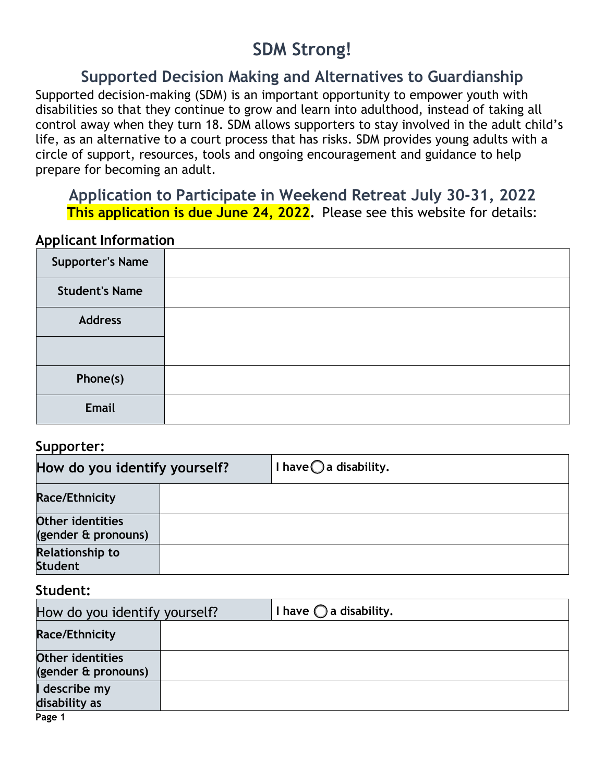# **SDM Strong!**

# **Supported Decision Making and Alternatives to Guardianship**

Supported decision-making (SDM) is an important opportunity to empower youth with disabilities so that they continue to grow and learn into adulthood, instead of taking all control away when they turn 18. SDM allows supporters to stay involved in the adult child's life, as an alternative to a court process that has risks. SDM provides young adults with a circle of support, resources, tools and ongoing encouragement and guidance to help prepare for becoming an adult.

### **Application to Participate in Weekend Retreat July 30-31, 2022 This application is due June 24, 2022.** Please see this website for details:

#### **Applicant Information**

| <b>Supporter's Name</b> |  |
|-------------------------|--|
| <b>Student's Name</b>   |  |
| <b>Address</b>          |  |
|                         |  |
| Phone(s)                |  |
| Email                   |  |

#### **Supporter:**

| How do you identify yourself?            |  | I have $\bigcirc$ a disability. |
|------------------------------------------|--|---------------------------------|
| Race/Ethnicity                           |  |                                 |
| Other identities<br>(gender & pronouns)  |  |                                 |
| <b>Relationship to</b><br><b>Student</b> |  |                                 |

#### **Student:**

| How do you identify yourself?           |  | I have $\bigcirc$ a disability. |
|-----------------------------------------|--|---------------------------------|
| <b>Race/Ethnicity</b>                   |  |                                 |
| Other identities<br>(gender & pronouns) |  |                                 |
| I describe my<br>disability as          |  |                                 |
| $P$ age 1                               |  |                                 |

**Page 1**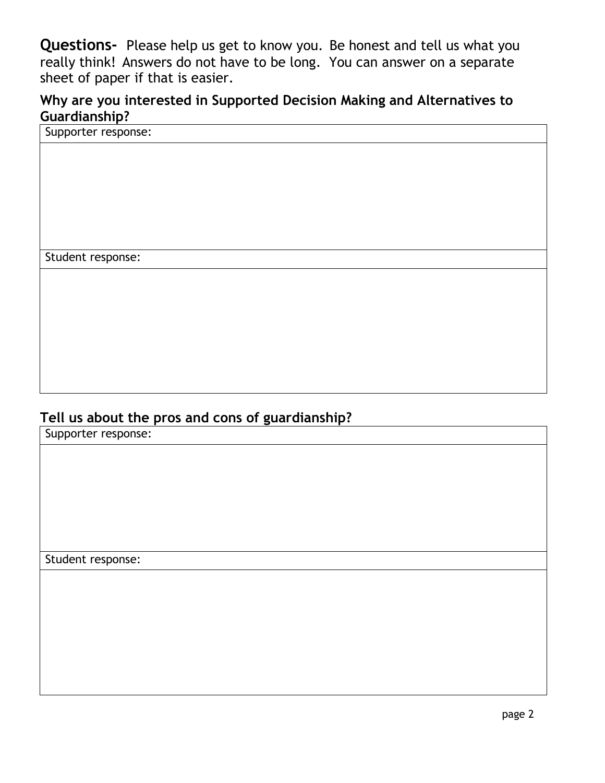**Questions-** Please help us get to know you. Be honest and tell us what you really think! Answers do not have to be long. You can answer on a separate sheet of paper if that is easier.

### **Why are you interested in Supported Decision Making and Alternatives to Guardianship?**

Supporter response:

Student response:

#### **Tell us about the pros and cons of guardianship?**

Supporter response:

Student response: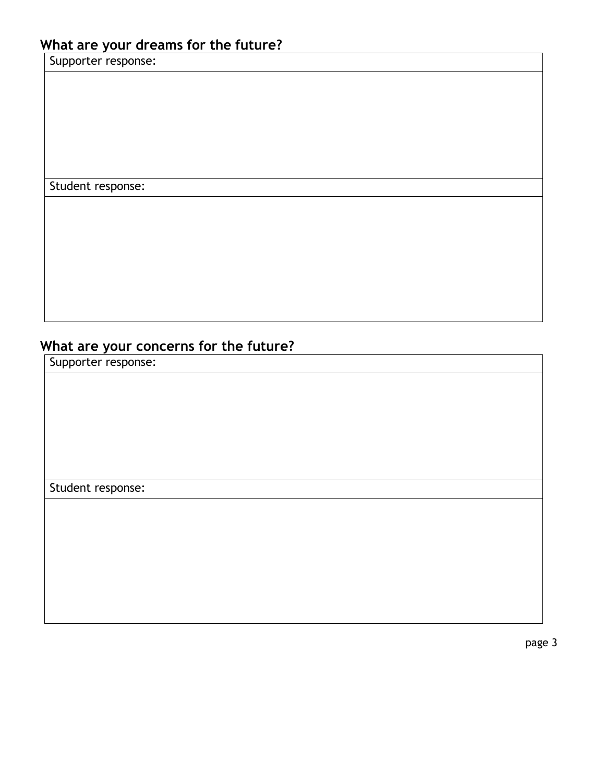#### **What are your dreams for the future?**

Supporter response:

Student response:

# **What are your concerns for the future?**

Supporter response:

Student response: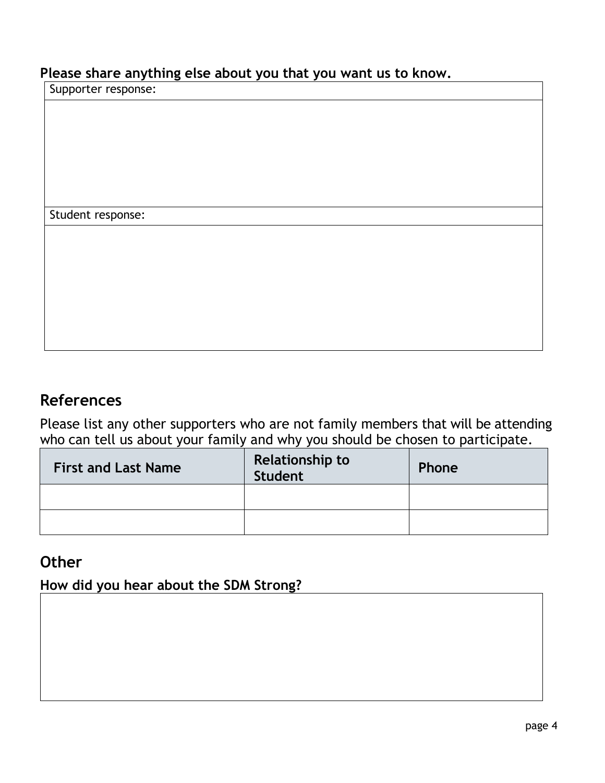### **Please share anything else about you that you want us to know.**

Supporter response:

Student response:

### **References**

Please list any other supporters who are not family members that will be attending who can tell us about your family and why you should be chosen to participate.

| <b>First and Last Name</b> | <b>Relationship to</b><br>Student | <b>Phone</b> |
|----------------------------|-----------------------------------|--------------|
|                            |                                   |              |
|                            |                                   |              |

# **Other**

**How did you hear about the SDM Strong?**